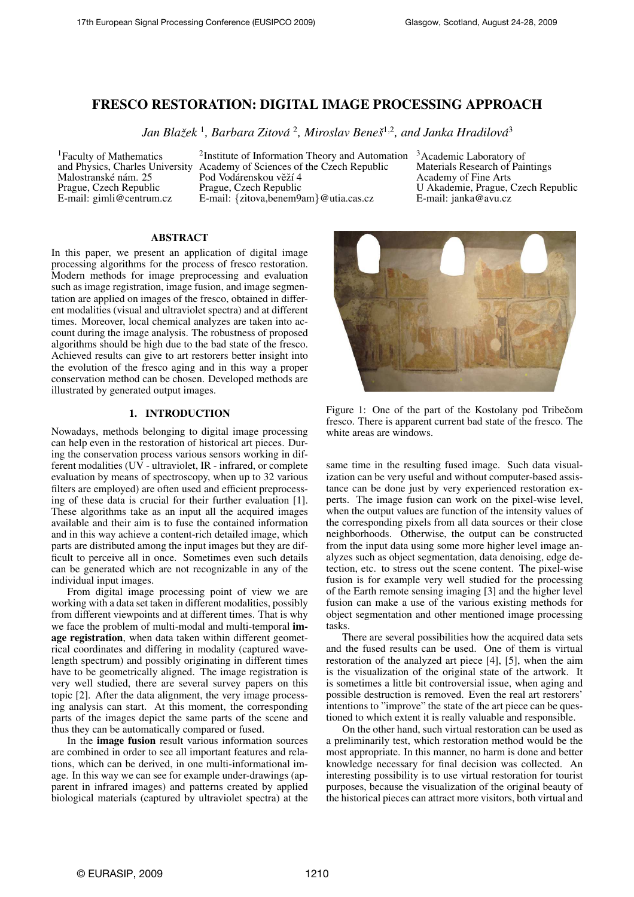# FRESCO RESTORATION: DIGITAL IMAGE PROCESSING APPROACH

Jan Blažek <sup>1</sup>, Barbara Zitová <sup>2</sup>, Miroslav Beneš<sup>1,2</sup>, and Janka Hradilová<sup>3</sup>

<sup>1</sup>Faculty of Mathematics and Physics, Charles University Malostranské nám. 25 Prague, Czech Republic E-mail: gimli@centrum.cz

<sup>2</sup>Institute of Information Theory and Automation  $3A$ cademic Laboratory of Academy of Sciences of the Czech Republic Pod Vodárenskou věží 4 Prague, Czech Republic E-mail: {zitova,benem9am}@utia.cas.cz

Materials Research of Paintings Academy of Fine Arts U Akademie, Prague, Czech Republic E-mail: janka@avu.cz

## ABSTRACT

In this paper, we present an application of digital image processing algorithms for the process of fresco restoration. Modern methods for image preprocessing and evaluation such as image registration, image fusion, and image segmentation are applied on images of the fresco, obtained in different modalities (visual and ultraviolet spectra) and at different times. Moreover, local chemical analyzes are taken into account during the image analysis. The robustness of proposed algorithms should be high due to the bad state of the fresco. Achieved results can give to art restorers better insight into the evolution of the fresco aging and in this way a proper conservation method can be chosen. Developed methods are illustrated by generated output images.

## 1. INTRODUCTION

Nowadays, methods belonging to digital image processing can help even in the restoration of historical art pieces. During the conservation process various sensors working in different modalities (UV - ultraviolet, IR - infrared, or complete evaluation by means of spectroscopy, when up to 32 various filters are employed) are often used and efficient preprocessing of these data is crucial for their further evaluation [1]. These algorithms take as an input all the acquired images available and their aim is to fuse the contained information and in this way achieve a content-rich detailed image, which parts are distributed among the input images but they are difficult to perceive all in once. Sometimes even such details can be generated which are not recognizable in any of the individual input images.

From digital image processing point of view we are working with a data set taken in different modalities, possibly from different viewpoints and at different times. That is why we face the problem of multi-modal and multi-temporal image registration, when data taken within different geometrical coordinates and differing in modality (captured wavelength spectrum) and possibly originating in different times have to be geometrically aligned. The image registration is very well studied, there are several survey papers on this topic [2]. After the data alignment, the very image processing analysis can start. At this moment, the corresponding parts of the images depict the same parts of the scene and thus they can be automatically compared or fused.

In the image fusion result various information sources are combined in order to see all important features and relations, which can be derived, in one multi-informational image. In this way we can see for example under-drawings (apparent in infrared images) and patterns created by applied biological materials (captured by ultraviolet spectra) at the



Figure 1: One of the part of the Kostolany pod Tribecom fresco. There is apparent current bad state of the fresco. The white areas are windows.

same time in the resulting fused image. Such data visualization can be very useful and without computer-based assistance can be done just by very experienced restoration experts. The image fusion can work on the pixel-wise level, when the output values are function of the intensity values of the corresponding pixels from all data sources or their close neighborhoods. Otherwise, the output can be constructed from the input data using some more higher level image analyzes such as object segmentation, data denoising, edge detection, etc. to stress out the scene content. The pixel-wise fusion is for example very well studied for the processing of the Earth remote sensing imaging [3] and the higher level fusion can make a use of the various existing methods for object segmentation and other mentioned image processing tasks.

There are several possibilities how the acquired data sets and the fused results can be used. One of them is virtual restoration of the analyzed art piece [4], [5], when the aim is the visualization of the original state of the artwork. It is sometimes a little bit controversial issue, when aging and possible destruction is removed. Even the real art restorers' intentions to "improve" the state of the art piece can be questioned to which extent it is really valuable and responsible.

On the other hand, such virtual restoration can be used as a preliminarily test, which restoration method would be the most appropriate. In this manner, no harm is done and better knowledge necessary for final decision was collected. An interesting possibility is to use virtual restoration for tourist purposes, because the visualization of the original beauty of the historical pieces can attract more visitors, both virtual and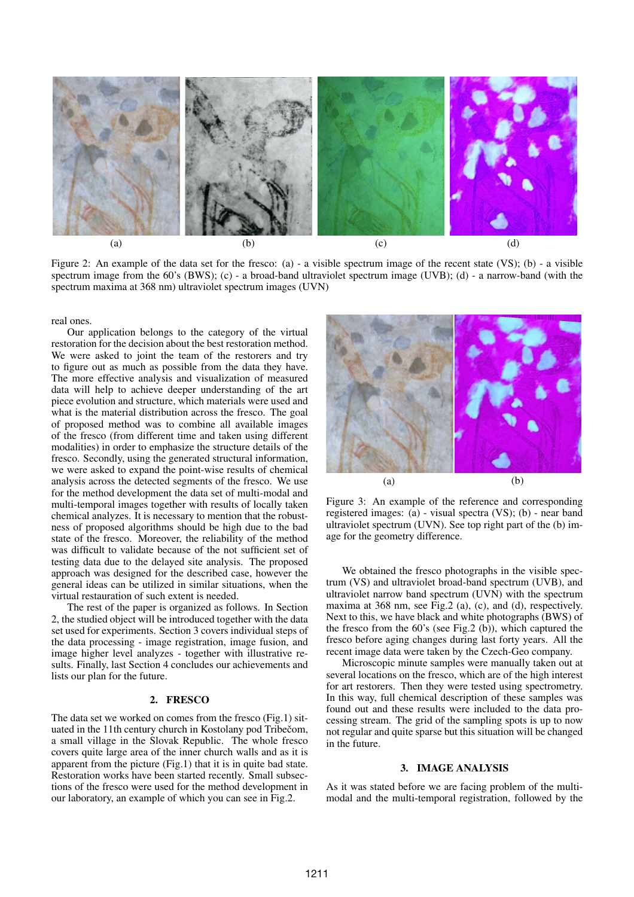

Figure 2: An example of the data set for the fresco: (a) - a visible spectrum image of the recent state (VS); (b) - a visible spectrum image from the 60's (BWS); (c) - a broad-band ultraviolet spectrum image (UVB); (d) - a narrow-band (with the spectrum maxima at 368 nm) ultraviolet spectrum images (UVN)

real ones.

Our application belongs to the category of the virtual restoration for the decision about the best restoration method. We were asked to joint the team of the restorers and try to figure out as much as possible from the data they have. The more effective analysis and visualization of measured data will help to achieve deeper understanding of the art piece evolution and structure, which materials were used and what is the material distribution across the fresco. The goal of proposed method was to combine all available images of the fresco (from different time and taken using different modalities) in order to emphasize the structure details of the fresco. Secondly, using the generated structural information, we were asked to expand the point-wise results of chemical analysis across the detected segments of the fresco. We use for the method development the data set of multi-modal and multi-temporal images together with results of locally taken chemical analyzes. It is necessary to mention that the robustness of proposed algorithms should be high due to the bad state of the fresco. Moreover, the reliability of the method was difficult to validate because of the not sufficient set of testing data due to the delayed site analysis. The proposed approach was designed for the described case, however the general ideas can be utilized in similar situations, when the virtual restauration of such extent is needed.

The rest of the paper is organized as follows. In Section 2, the studied object will be introduced together with the data set used for experiments. Section 3 covers individual steps of the data processing - image registration, image fusion, and image higher level analyzes - together with illustrative results. Finally, last Section 4 concludes our achievements and lists our plan for the future.

## 2. FRESCO

The data set we worked on comes from the fresco (Fig.1) situated in the 11th century church in Kostolany pod Tribecom, a small village in the Slovak Republic. The whole fresco covers quite large area of the inner church walls and as it is apparent from the picture (Fig.1) that it is in quite bad state. Restoration works have been started recently. Small subsections of the fresco were used for the method development in our laboratory, an example of which you can see in Fig.2.



Figure 3: An example of the reference and corresponding registered images: (a) - visual spectra (VS); (b) - near band ultraviolet spectrum (UVN). See top right part of the (b) image for the geometry difference.

We obtained the fresco photographs in the visible spectrum (VS) and ultraviolet broad-band spectrum (UVB), and ultraviolet narrow band spectrum (UVN) with the spectrum maxima at 368 nm, see Fig.2 (a), (c), and (d), respectively. Next to this, we have black and white photographs (BWS) of the fresco from the 60's (see Fig.2 (b)), which captured the fresco before aging changes during last forty years. All the recent image data were taken by the Czech-Geo company.

Microscopic minute samples were manually taken out at several locations on the fresco, which are of the high interest for art restorers. Then they were tested using spectrometry. In this way, full chemical description of these samples was found out and these results were included to the data processing stream. The grid of the sampling spots is up to now not regular and quite sparse but this situation will be changed in the future.

#### 3. IMAGE ANALYSIS

As it was stated before we are facing problem of the multimodal and the multi-temporal registration, followed by the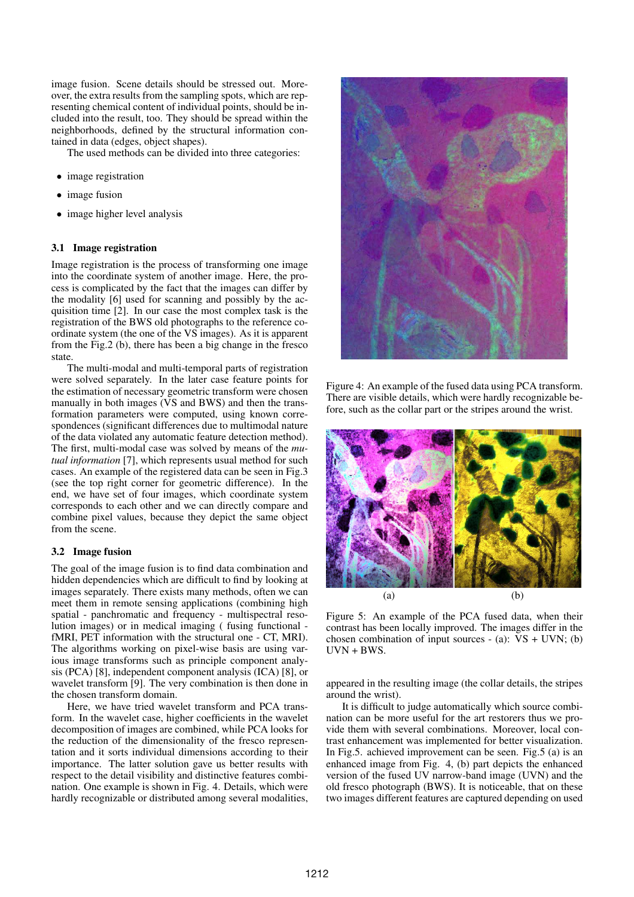image fusion. Scene details should be stressed out. Moreover, the extra results from the sampling spots, which are representing chemical content of individual points, should be included into the result, too. They should be spread within the neighborhoods, defined by the structural information contained in data (edges, object shapes).

The used methods can be divided into three categories:

- image registration
- image fusion
- image higher level analysis

## 3.1 Image registration

Image registration is the process of transforming one image into the coordinate system of another image. Here, the process is complicated by the fact that the images can differ by the modality [6] used for scanning and possibly by the acquisition time [2]. In our case the most complex task is the registration of the BWS old photographs to the reference coordinate system (the one of the VS images). As it is apparent from the Fig.2 (b), there has been a big change in the fresco state.

The multi-modal and multi-temporal parts of registration were solved separately. In the later case feature points for the estimation of necessary geometric transform were chosen manually in both images (VS and BWS) and then the transformation parameters were computed, using known correspondences (significant differences due to multimodal nature of the data violated any automatic feature detection method). The first, multi-modal case was solved by means of the *mutual information* [7], which represents usual method for such cases. An example of the registered data can be seen in Fig.3 (see the top right corner for geometric difference). In the end, we have set of four images, which coordinate system corresponds to each other and we can directly compare and combine pixel values, because they depict the same object from the scene.

#### 3.2 Image fusion

The goal of the image fusion is to find data combination and hidden dependencies which are difficult to find by looking at images separately. There exists many methods, often we can meet them in remote sensing applications (combining high spatial - panchromatic and frequency - multispectral resolution images) or in medical imaging ( fusing functional fMRI, PET information with the structural one - CT, MRI). The algorithms working on pixel-wise basis are using various image transforms such as principle component analysis (PCA) [8], independent component analysis (ICA) [8], or wavelet transform [9]. The very combination is then done in the chosen transform domain.

Here, we have tried wavelet transform and PCA transform. In the wavelet case, higher coefficients in the wavelet decomposition of images are combined, while PCA looks for the reduction of the dimensionality of the fresco representation and it sorts individual dimensions according to their importance. The latter solution gave us better results with respect to the detail visibility and distinctive features combination. One example is shown in Fig. 4. Details, which were hardly recognizable or distributed among several modalities,



Figure 4: An example of the fused data using PCA transform. There are visible details, which were hardly recognizable before, such as the collar part or the stripes around the wrist.



Figure 5: An example of the PCA fused data, when their contrast has been locally improved. The images differ in the chosen combination of input sources  $-$  (a): VS  $+$  UVN; (b) UVN + BWS.

appeared in the resulting image (the collar details, the stripes around the wrist).

It is difficult to judge automatically which source combination can be more useful for the art restorers thus we provide them with several combinations. Moreover, local contrast enhancement was implemented for better visualization. In Fig.5. achieved improvement can be seen. Fig.5 (a) is an enhanced image from Fig. 4, (b) part depicts the enhanced version of the fused UV narrow-band image (UVN) and the old fresco photograph (BWS). It is noticeable, that on these two images different features are captured depending on used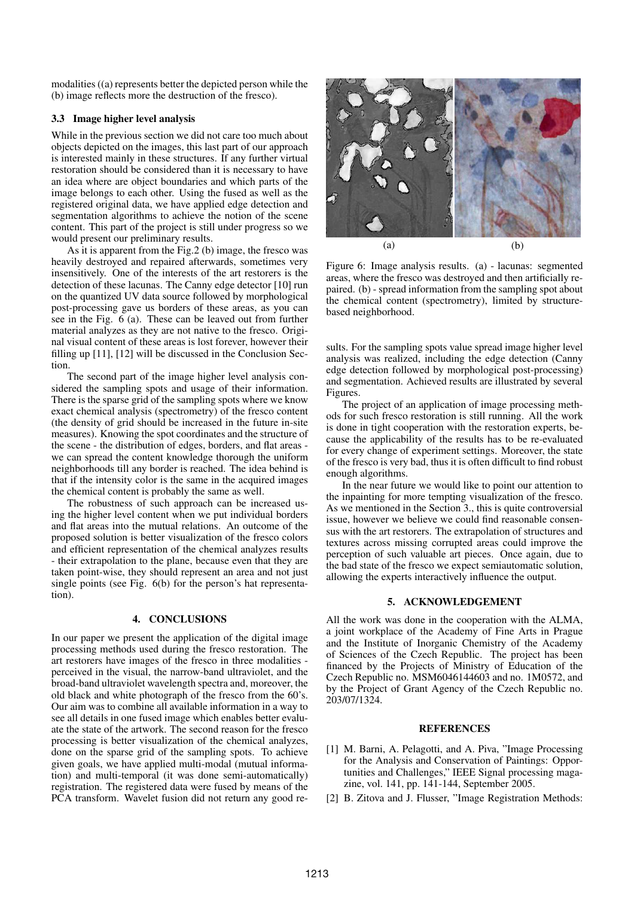modalities ((a) represents better the depicted person while the (b) image reflects more the destruction of the fresco).

## 3.3 Image higher level analysis

While in the previous section we did not care too much about objects depicted on the images, this last part of our approach is interested mainly in these structures. If any further virtual restoration should be considered than it is necessary to have an idea where are object boundaries and which parts of the image belongs to each other. Using the fused as well as the registered original data, we have applied edge detection and segmentation algorithms to achieve the notion of the scene content. This part of the project is still under progress so we would present our preliminary results.

As it is apparent from the Fig.2 (b) image, the fresco was heavily destroyed and repaired afterwards, sometimes very insensitively. One of the interests of the art restorers is the detection of these lacunas. The Canny edge detector [10] run on the quantized UV data source followed by morphological post-processing gave us borders of these areas, as you can see in the Fig. 6 (a). These can be leaved out from further material analyzes as they are not native to the fresco. Original visual content of these areas is lost forever, however their filling up [11], [12] will be discussed in the Conclusion Section.

The second part of the image higher level analysis considered the sampling spots and usage of their information. There is the sparse grid of the sampling spots where we know exact chemical analysis (spectrometry) of the fresco content (the density of grid should be increased in the future in-site measures). Knowing the spot coordinates and the structure of the scene - the distribution of edges, borders, and flat areas we can spread the content knowledge thorough the uniform neighborhoods till any border is reached. The idea behind is that if the intensity color is the same in the acquired images the chemical content is probably the same as well.

The robustness of such approach can be increased using the higher level content when we put individual borders and flat areas into the mutual relations. An outcome of the proposed solution is better visualization of the fresco colors and efficient representation of the chemical analyzes results - their extrapolation to the plane, because even that they are taken point-wise, they should represent an area and not just single points (see Fig. 6(b) for the person's hat representation).

## 4. CONCLUSIONS

In our paper we present the application of the digital image processing methods used during the fresco restoration. The art restorers have images of the fresco in three modalities perceived in the visual, the narrow-band ultraviolet, and the broad-band ultraviolet wavelength spectra and, moreover, the old black and white photograph of the fresco from the 60's. Our aim was to combine all available information in a way to see all details in one fused image which enables better evaluate the state of the artwork. The second reason for the fresco processing is better visualization of the chemical analyzes, done on the sparse grid of the sampling spots. To achieve given goals, we have applied multi-modal (mutual information) and multi-temporal (it was done semi-automatically) registration. The registered data were fused by means of the PCA transform. Wavelet fusion did not return any good re-



Figure 6: Image analysis results. (a) - lacunas: segmented areas, where the fresco was destroyed and then artificially repaired. (b) - spread information from the sampling spot about the chemical content (spectrometry), limited by structurebased neighborhood.

sults. For the sampling spots value spread image higher level analysis was realized, including the edge detection (Canny edge detection followed by morphological post-processing) and segmentation. Achieved results are illustrated by several Figures.

The project of an application of image processing methods for such fresco restoration is still running. All the work is done in tight cooperation with the restoration experts, because the applicability of the results has to be re-evaluated for every change of experiment settings. Moreover, the state of the fresco is very bad, thus it is often difficult to find robust enough algorithms.

In the near future we would like to point our attention to the inpainting for more tempting visualization of the fresco. As we mentioned in the Section 3., this is quite controversial issue, however we believe we could find reasonable consensus with the art restorers. The extrapolation of structures and textures across missing corrupted areas could improve the perception of such valuable art pieces. Once again, due to the bad state of the fresco we expect semiautomatic solution, allowing the experts interactively influence the output.

## 5. ACKNOWLEDGEMENT

All the work was done in the cooperation with the ALMA, a joint workplace of the Academy of Fine Arts in Prague and the Institute of Inorganic Chemistry of the Academy of Sciences of the Czech Republic. The project has been financed by the Projects of Ministry of Education of the Czech Republic no. MSM6046144603 and no. 1M0572, and by the Project of Grant Agency of the Czech Republic no. 203/07/1324.

#### **REFERENCES**

- [1] M. Barni, A. Pelagotti, and A. Piva, "Image Processing for the Analysis and Conservation of Paintings: Opportunities and Challenges," IEEE Signal processing magazine, vol. 141, pp. 141-144, September 2005.
- [2] B. Zitova and J. Flusser, "Image Registration Methods: